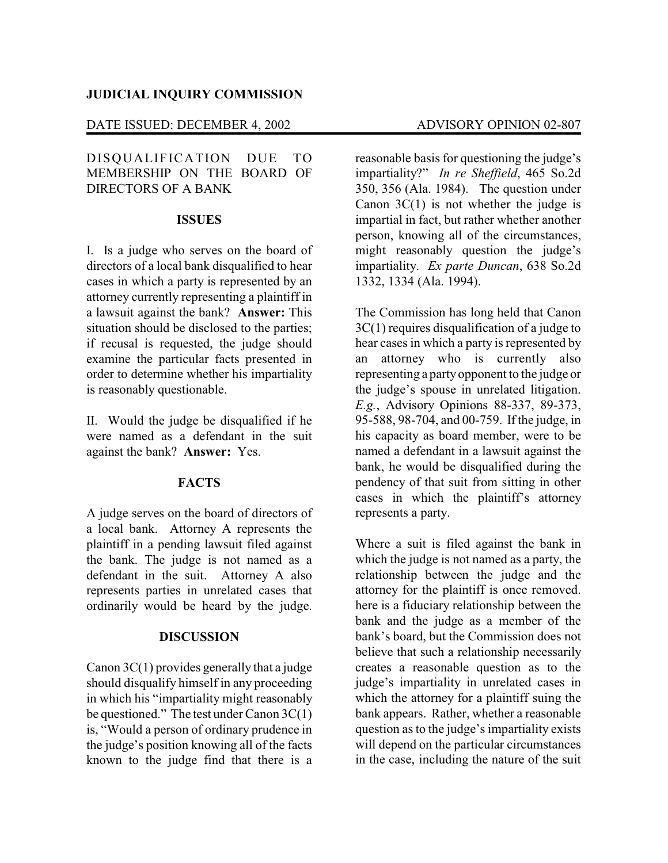#### DATE ISSUED: DECEMBER 4, 2002 ADVISORY OPINION 02-807

## DISQUALIFICATION DUE TO MEMBERSHIP ON THE BOARD OF DIRECTORS OF A BANK

### **ISSUES**

I. Is a judge who serves on the board of directors of a local bank disqualified to hear cases in which a party is represented by an attorney currently representing a plaintiff in a lawsuit against the bank? **Answer:** This situation should be disclosed to the parties; if recusal is requested, the judge should examine the particular facts presented in order to determine whether his impartiality is reasonably questionable.

II. Would the judge be disqualified if he were named as a defendant in the suit against the bank? **Answer:** Yes.

### **FACTS**

A judge serves on the board of directors of a local bank. Attorney A represents the plaintiff in a pending lawsuit filed against the bank. The judge is not named as a defendant in the suit. Attorney A also represents parties in unrelated cases that ordinarily would be heard by the judge.

## **DISCUSSION**

Canon 3C(1) provides generally that a judge should disqualify himself in any proceeding in which his "impartiality might reasonably be questioned." The test under Canon 3C(1) is, "Would a person of ordinary prudence in the judge's position knowing all of the facts known to the judge find that there is a reasonable basis for questioning the judge's impartiality?" *In re Sheffield*, 465 So.2d 350, 356 (Ala. 1984). The question under Canon  $3C(1)$  is not whether the judge is impartial in fact, but rather whether another person, knowing all of the circumstances, might reasonably question the judge's impartiality. *Ex parte Duncan*, 638 So.2d 1332, 1334 (Ala. 1994).

The Commission has long held that Canon 3C(1) requires disqualification of a judge to hear cases in which a party is represented by an attorney who is currently also representing a party opponent to the judge or the judge's spouse in unrelated litigation. *E.g.*, Advisory Opinions 88-337, 89-373, 95-588, 98-704, and 00-759. If the judge, in his capacity as board member, were to be named a defendant in a lawsuit against the bank, he would be disqualified during the pendency of that suit from sitting in other cases in which the plaintiff's attorney represents a party.

Where a suit is filed against the bank in which the judge is not named as a party, the relationship between the judge and the attorney for the plaintiff is once removed. here is a fiduciary relationship between the bank and the judge as a member of the bank's board, but the Commission does not believe that such a relationship necessarily creates a reasonable question as to the judge's impartiality in unrelated cases in which the attorney for a plaintiff suing the bank appears. Rather, whether a reasonable question as to the judge's impartiality exists will depend on the particular circumstances in the case, including the nature of the suit